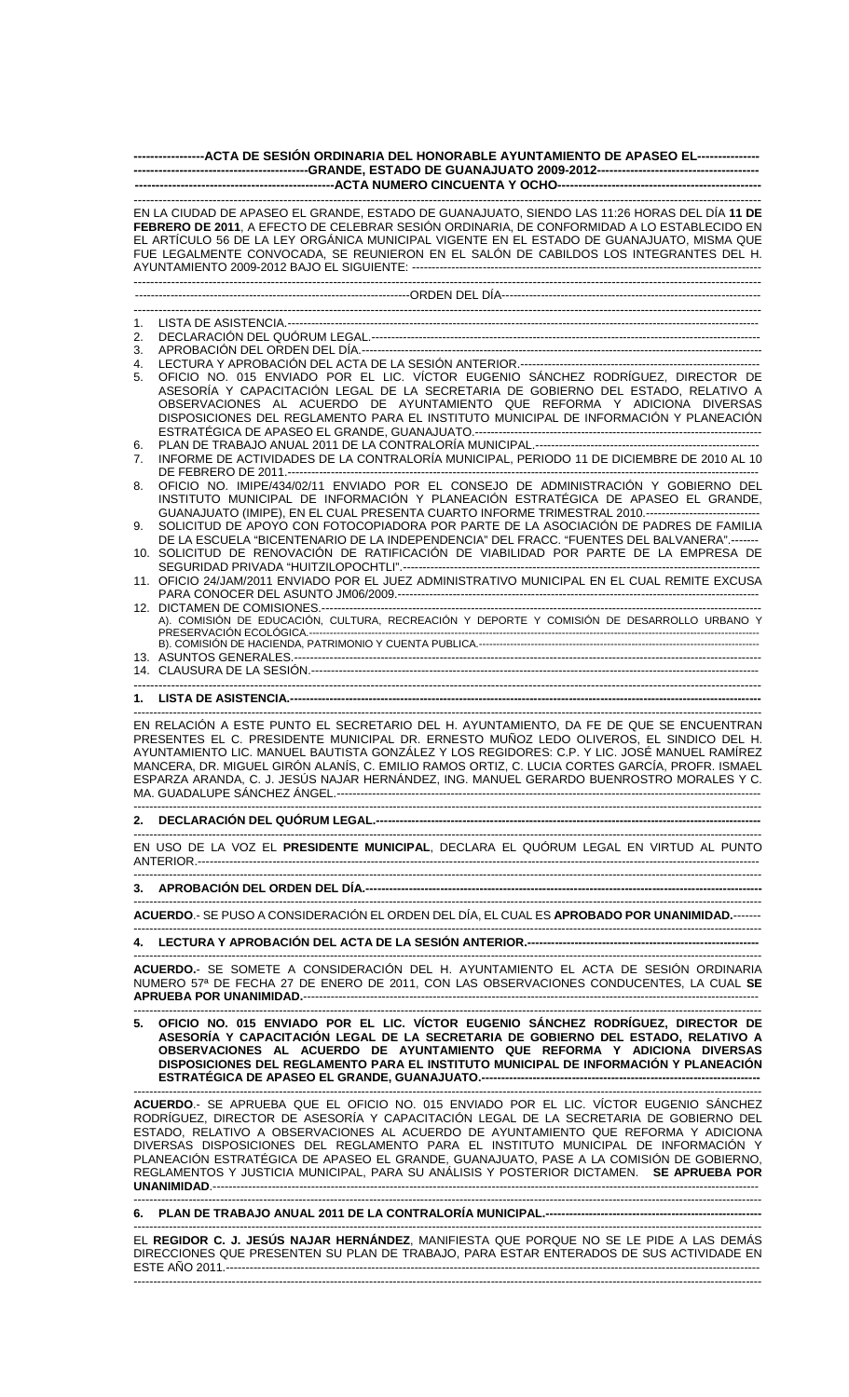| ------------------ACTA DE SESIÓN ORDINARIA DEL HONORABLE AYUNTAMIENTO DE APASEO EL----------------                                                                                                                                                                                                                                                                               |                                                                                                                                                                                                                                                                                                                                                                                                                                                                                                                                                              |
|----------------------------------------------------------------------------------------------------------------------------------------------------------------------------------------------------------------------------------------------------------------------------------------------------------------------------------------------------------------------------------|--------------------------------------------------------------------------------------------------------------------------------------------------------------------------------------------------------------------------------------------------------------------------------------------------------------------------------------------------------------------------------------------------------------------------------------------------------------------------------------------------------------------------------------------------------------|
|                                                                                                                                                                                                                                                                                                                                                                                  |                                                                                                                                                                                                                                                                                                                                                                                                                                                                                                                                                              |
| EN LA CIUDAD DE APASEO EL GRANDE, ESTADO DE GUANAJUATO, SIENDO LAS 11:26 HORAS DEL DÍA 11 DE<br>FEBRERO DE 2011, A EFECTO DE CELEBRAR SESIÓN ORDINARIA, DE CONFORMIDAD A LO ESTABLECIDO EN<br>EL ARTÍCULO 56 DE LA LEY ORGÁNICA MUNICIPAL VIGENTE EN EL ESTADO DE GUANAJUATO, MISMA QUE<br>FUE LEGALMENTE CONVOCADA, SE REUNIERON EN EL SALÓN DE CABILDOS LOS INTEGRANTES DEL H. |                                                                                                                                                                                                                                                                                                                                                                                                                                                                                                                                                              |
|                                                                                                                                                                                                                                                                                                                                                                                  |                                                                                                                                                                                                                                                                                                                                                                                                                                                                                                                                                              |
|                                                                                                                                                                                                                                                                                                                                                                                  |                                                                                                                                                                                                                                                                                                                                                                                                                                                                                                                                                              |
| 1.<br>2.                                                                                                                                                                                                                                                                                                                                                                         |                                                                                                                                                                                                                                                                                                                                                                                                                                                                                                                                                              |
| 3.                                                                                                                                                                                                                                                                                                                                                                               |                                                                                                                                                                                                                                                                                                                                                                                                                                                                                                                                                              |
| 4.<br>5.                                                                                                                                                                                                                                                                                                                                                                         | OFICIO NO. 015 ENVIADO POR EL LIC. VÍCTOR EUGENIO SÁNCHEZ RODRÍGUEZ, DIRECTOR DE<br>ASESORÍA Y CAPACITACIÓN LEGAL DE LA SECRETARIA DE GOBIERNO DEL ESTADO, RELATIVO A<br>OBSERVACIONES AL ACUERDO DE AYUNTAMIENTO QUE REFORMA Y ADICIONA DIVERSAS<br>DISPOSICIONES DEL REGLAMENTO PARA EL INSTITUTO MUNICIPAL DE INFORMACIÓN Y PLANEACIÓN                                                                                                                                                                                                                    |
| 6.<br>7.                                                                                                                                                                                                                                                                                                                                                                         | INFORME DE ACTIVIDADES DE LA CONTRALORÍA MUNICIPAL, PERIODO 11 DE DICIEMBRE DE 2010 AL 10                                                                                                                                                                                                                                                                                                                                                                                                                                                                    |
| 8.<br>9.                                                                                                                                                                                                                                                                                                                                                                         | OFICIO NO. IMIPE/434/02/11 ENVIADO POR EL CONSEJO DE ADMINISTRACIÓN Y GOBIERNO DEL<br>INSTITUTO MUNICIPAL DE INFORMACIÓN Y PLANEACIÓN ESTRATÉGICA DE APASEO EL GRANDE,<br>GUANAJUATO (IMIPE), EN EL CUAL PRESENTA CUARTO INFORME TRIMESTRAL 2010.----------------------------<br>SOLICITUD DE APOYO CON FOTOCOPIADORA POR PARTE DE LA ASOCIACIÓN DE PADRES DE FAMILIA<br>DE LA ESCUELA "BICENTENARIO DE LA INDEPENDENCIA" DEL FRACC. "FUENTES DEL BALVANERA".-------<br>10. SOLICITUD DE RENOVACIÓN DE RATIFICACIÓN DE VIABILIDAD POR PARTE DE LA EMPRESA DE |
|                                                                                                                                                                                                                                                                                                                                                                                  | 11. OFICIO 24/JAM/2011 ENVIADO POR EL JUEZ ADMINISTRATIVO MUNICIPAL EN EL CUAL REMITE EXCUSA                                                                                                                                                                                                                                                                                                                                                                                                                                                                 |
|                                                                                                                                                                                                                                                                                                                                                                                  | A). COMISIÓN DE EDUCACIÓN, CULTURA, RECREACIÓN Y DEPORTE Y COMISIÓN DE DESARROLLO URBANO Y                                                                                                                                                                                                                                                                                                                                                                                                                                                                   |
|                                                                                                                                                                                                                                                                                                                                                                                  |                                                                                                                                                                                                                                                                                                                                                                                                                                                                                                                                                              |
|                                                                                                                                                                                                                                                                                                                                                                                  |                                                                                                                                                                                                                                                                                                                                                                                                                                                                                                                                                              |
|                                                                                                                                                                                                                                                                                                                                                                                  |                                                                                                                                                                                                                                                                                                                                                                                                                                                                                                                                                              |
|                                                                                                                                                                                                                                                                                                                                                                                  |                                                                                                                                                                                                                                                                                                                                                                                                                                                                                                                                                              |
|                                                                                                                                                                                                                                                                                                                                                                                  | EN RELACIÓN A ESTE PUNTO EL SECRETARIO DEL H. AYUNTAMIENTO, DA FE DE QUE SE ENCUENTRAN<br>PRESENTES EL C. PRESIDENTE MUNICIPAL DR. ERNESTO MUÑOZ LEDO OLIVEROS, EL SINDICO DEL H.<br>AYUNTAMIENTO LIC. MANUEL BAUTISTA GONZÁLEZ Y LOS REGIDORES: C.P. Y LIC. JOSÉ MANUEL RAMÍREZ<br>MANCERA, DR. MIGUEL GIRÓN ALANÍS, C. EMILIO RAMOS ORTIZ, C. LUCIA CORTES GARCÍA, PROFR. ISMAEL<br>ESPARZA ARANDA, C. J. JESÚS NAJAR HERNÁNDEZ, ING. MANUEL GERARDO BUENROSTRO MORALES Y C.                                                                               |
|                                                                                                                                                                                                                                                                                                                                                                                  |                                                                                                                                                                                                                                                                                                                                                                                                                                                                                                                                                              |
|                                                                                                                                                                                                                                                                                                                                                                                  | EN USO DE LA VOZ EL PRESIDENTE MUNICIPAL, DECLARA EL QUÓRUM LEGAL EN VIRTUD AL PUNTO                                                                                                                                                                                                                                                                                                                                                                                                                                                                         |
|                                                                                                                                                                                                                                                                                                                                                                                  |                                                                                                                                                                                                                                                                                                                                                                                                                                                                                                                                                              |
|                                                                                                                                                                                                                                                                                                                                                                                  | ACUERDO.- SE PUSO A CONSIDERACIÓN EL ORDEN DEL DÍA, EL CUAL ES APROBADO POR UNANIMIDAD.-------                                                                                                                                                                                                                                                                                                                                                                                                                                                               |
|                                                                                                                                                                                                                                                                                                                                                                                  |                                                                                                                                                                                                                                                                                                                                                                                                                                                                                                                                                              |
|                                                                                                                                                                                                                                                                                                                                                                                  | ACUERDO.- SE SOMETE A CONSIDERACIÓN DEL H. AYUNTAMIENTO EL ACTA DE SESIÓN ORDINARIA<br>NUMERO 57ª DE FECHA 27 DE ENERO DE 2011, CON LAS OBSERVACIONES CONDUCENTES, LA CUAL SE                                                                                                                                                                                                                                                                                                                                                                                |
|                                                                                                                                                                                                                                                                                                                                                                                  | 5. OFICIO NO. 015 ENVIADO POR EL LIC. VÍCTOR EUGENIO SÁNCHEZ RODRÍGUEZ, DIRECTOR DE<br>ASESORÍA Y CAPACITACIÓN LEGAL DE LA SECRETARIA DE GOBIERNO DEL ESTADO, RELATIVO A<br>OBSERVACIONES AL ACUERDO DE AYUNTAMIENTO QUE REFORMA Y ADICIONA DIVERSAS<br>DISPOSICIONES DEL REGLAMENTO PARA EL INSTITUTO MUNICIPAL DE INFORMACIÓN Y PLANEACIÓN                                                                                                                                                                                                                 |
|                                                                                                                                                                                                                                                                                                                                                                                  | ACUERDO.- SE APRUEBA QUE EL OFICIO NO. 015 ENVIADO POR EL LIC. VÍCTOR EUGENIO SÁNCHEZ<br>RODRÍGUEZ, DIRECTOR DE ASESORÍA Y CAPACITACIÓN LEGAL DE LA SECRETARIA DE GOBIERNO DEL<br>ESTADO, RELATIVO A OBSERVACIONES AL ACUERDO DE AYUNTAMIENTO QUE REFORMA Y ADICIONA<br>DIVERSAS DISPOSICIONES DEL REGLAMENTO PARA EL INSTITUTO MUNICIPAL DE INFORMACIÓN Y<br>PLANEACIÓN ESTRATÉGICA DE APASEO EL GRANDE, GUANAJUATO, PASE A LA COMISIÓN DE GOBIERNO,<br>REGLAMENTOS Y JUSTICIA MUNICIPAL, PARA SU ANÁLISIS Y POSTERIOR DICTAMEN. SE APRUEBA POR             |
|                                                                                                                                                                                                                                                                                                                                                                                  |                                                                                                                                                                                                                                                                                                                                                                                                                                                                                                                                                              |

**6. PLAN DE TRABAJO ANUAL 2011 DE LA CONTRALORÍA MUNICIPAL.-------------------------------------------------------** 

---------------------------------------------------------------------------------------------------------------------------------------------------------------- EL **REGIDOR C. J. JESÚS NAJAR HERNÁNDEZ**, MANIFIESTA QUE PORQUE NO SE LE PIDE A LAS DEMÁS DIRECCIONES QUE PRESENTEN SU PLAN DE TRABAJO, PARA ESTAR ENTERADOS DE SUS ACTIVIDADE EN ESTE AÑO 2011.---------------------------------------------------------------------------------------------------------------------------------------- ----------------------------------------------------------------------------------------------------------------------------------------------------------------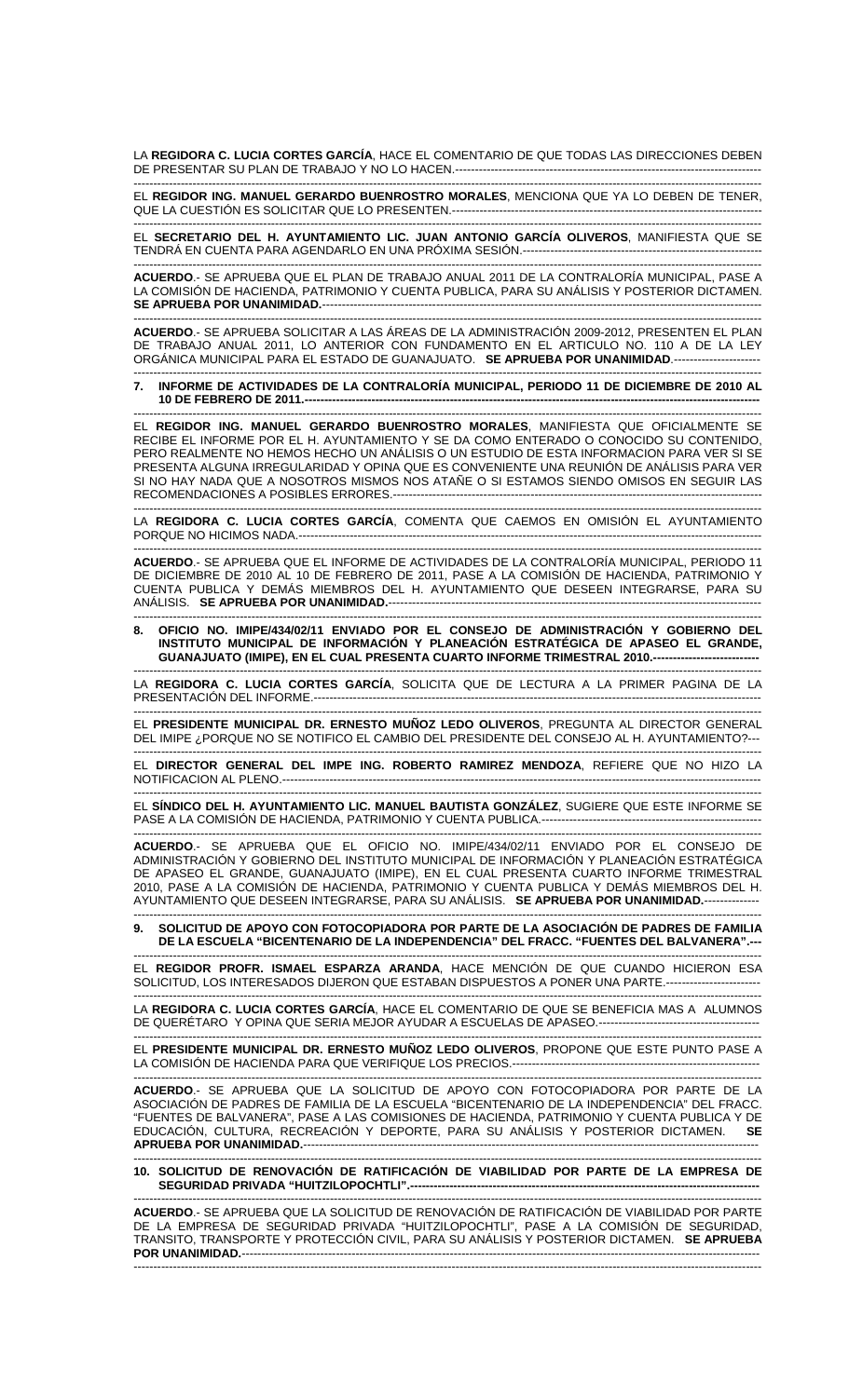LA **REGIDORA C. LUCIA CORTES GARCÍA**, HACE EL COMENTARIO DE QUE TODAS LAS DIRECCIONES DEBEN DE PRESENTAR SU PLAN DE TRABAJO Y NO LO HACEN.------------------------------------------------------------------------------

---------------------------------------------------------------------------------------------------------------------------------------------------------------- EL **REGIDOR ING. MANUEL GERARDO BUENROSTRO MORALES**, MENCIONA QUE YA LO DEBEN DE TENER, QUE LA CUESTIÓN ES SOLICITAR QUE LO PRESENTEN.-------------------------------------------------------------------------------

---------------------------------------------------------------------------------------------------------------------------------------------------------------- EL **SECRETARIO DEL H. AYUNTAMIENTO LIC. JUAN ANTONIO GARCÍA OLIVEROS**, MANIFIESTA QUE SE TENDRÁ EN CUENTA PARA AGENDARLO EN UNA PRÓXIMA SESIÓN.-------------------------

---------------------------------------------------------------------------------------------------------------------------------------------------------------- **ACUERDO**.- SE APRUEBA QUE EL PLAN DE TRABAJO ANUAL 2011 DE LA CONTRALORÍA MUNICIPAL, PASE A LA COMISIÓN DE HACIENDA, PATRIMONIO Y CUENTA PUBLICA, PARA SU ANÁLISIS Y POSTERIOR DICTAMEN. **SE APRUEBA POR UNANIMIDAD.**---------------------------------------------------------------------------------------------------------------- ----------------------------------------------------------------------------------------------------------------------------------------------------------------

**ACUERDO**.- SE APRUEBA SOLICITAR A LAS ÁREAS DE LA ADMINISTRACIÓN 2009-2012, PRESENTEN EL PLAN DE TRABAJO ANUAL 2011, LO ANTERIOR CON FUNDAMENTO EN EL ARTICULO NO. 110 A DE LA LEY ORGÁNICA MUNICIPAL PARA EL ESTADO DE GUANAJUATO. SE APRUEBA POR UNANIMIDAD.-----

---------------------------------------------------------------------------------------------------------------------------------------------------------------- **7. INFORME DE ACTIVIDADES DE LA CONTRALORÍA MUNICIPAL, PERIODO 11 DE DICIEMBRE DE 2010 AL**  10 DE FEBRERO DE 2011.--

---------------------------------------------------------------------------------------------------------------------------------------------------------------- EL **REGIDOR ING. MANUEL GERARDO BUENROSTRO MORALES**, MANIFIESTA QUE OFICIALMENTE SE RECIBE EL INFORME POR EL H. AYUNTAMIENTO Y SE DA COMO ENTERADO O CONOCIDO SU CONTENIDO, PERO REALMENTE NO HEMOS HECHO UN ANÁLISIS O UN ESTUDIO DE ESTA INFORMACION PARA VER SI SE PRESENTA ALGUNA IRREGULARIDAD Y OPINA QUE ES CONVENIENTE UNA REUNIÓN DE ANÁLISIS PARA VER SI NO HAY NADA QUE A NOSOTROS MISMOS NOS ATAÑE O SI ESTAMOS SIENDO OMISOS EN SEGUIR LAS RECOMENDACIONES A POSIBLES ERRORES.----------------------------------------------------------------------------------------------

---------------------------------------------------------------------------------------------------------------------------------------------------------------- LA **REGIDORA C. LUCIA CORTES GARCÍA**, COMENTA QUE CAEMOS EN OMISIÓN EL AYUNTAMIENTO PORQUE NO HICIMOS NADA.-------------

---------------------------------------------------------------------------------------------------------------------------------------------------------------- **ACUERDO**.- SE APRUEBA QUE EL INFORME DE ACTIVIDADES DE LA CONTRALORÍA MUNICIPAL, PERIODO 11 DE DICIEMBRE DE 2010 AL 10 DE FEBRERO DE 2011, PASE A LA COMISIÓN DE HACIENDA, PATRIMONIO Y CUENTA PUBLICA Y DEMÁS MIEMBROS DEL H. AYUNTAMIENTO QUE DESEEN INTEGRARSE, PARA SU ANÁLISIS. **SE APRUEBA POR UNANIMIDAD.**-----------------------------------------------------------------------------------------------

---------------------------------------------------------------------------------------------------------------------------------------------------------------- **8. OFICIO NO. IMIPE/434/02/11 ENVIADO POR EL CONSEJO DE ADMINISTRACIÓN Y GOBIERNO DEL INSTITUTO MUNICIPAL DE INFORMACIÓN Y PLANEACIÓN ESTRATÉGICA DE APASEO EL GRANDE, GUANAJUATO (IMIPE), EN EL CUAL PRESENTA CUARTO INFORME TRIMESTRAL 2010.----**

---------------------------------------------------------------------------------------------------------------------------------------------------------------- LA **REGIDORA C. LUCIA CORTES GARCÍA**, SOLICITA QUE DE LECTURA A LA PRIMER PAGINA DE LA PRESENTACIÓN DEL INFORME.-----

---------------------------------------------------------------------------------------------------------------------------------------------------------------- EL **PRESIDENTE MUNICIPAL DR. ERNESTO MUÑOZ LEDO OLIVEROS**, PREGUNTA AL DIRECTOR GENERAL DEL IMIPE ¿PORQUE NO SE NOTIFICO EL CAMBIO DEL PRESIDENTE DEL CONSEJO AL H. AYUNTAMIENTO?---

---------------------------------------------------------------------------------------------------------------------------------------------------------------- EL **DIRECTOR GENERAL DEL IMPE ING. ROBERTO RAMIREZ MENDOZA**, REFIERE QUE NO HIZO LA NOTIFICACION AL PLENO.--------------------------------------------------------------------------------------------------------------------------

---------------------------------------------------------------------------------------------------------------------------------------------------------------- EL **SÍNDICO DEL H. AYUNTAMIENTO LIC. MANUEL BAUTISTA GONZÁLEZ**, SUGIERE QUE ESTE INFORME SE PASE A LA COMISIÓN DE HACIENDA, PATRIMONIO Y CUENTA PUBLICA.--------------------------------------------------------

---------------------------------------------------------------------------------------------------------------------------------------------------------------- SE APRUEBA QUE EL OFICIO NO. IMIPE/434/02/11 ENVIADO POR EL CONSEJO DE ADMINISTRACIÓN Y GOBIERNO DEL INSTITUTO MUNICIPAL DE INFORMACIÓN Y PLANEACIÓN ESTRATÉGICA DE APASEO EL GRANDE, GUANAJUATO (IMIPE), EN EL CUAL PRESENTA CUARTO INFORME TRIMESTRAL 2010, PASE A LA COMISIÓN DE HACIENDA, PATRIMONIO Y CUENTA PUBLICA Y DEMÁS MIEMBROS DEL H. AYUNTAMIENTO QUE DESEEN INTEGRARSE, PARA SU ANÁLISIS. **SE APRUEBA POR UNANIMIDAD.**-------------- ----------------------------------------------------------------------------------------------------------------------------------------------------------------

## **9. SOLICITUD DE APOYO CON FOTOCOPIADORA POR PARTE DE LA ASOCIACIÓN DE PADRES DE FAMILIA DE LA ESCUELA "BICENTENARIO DE LA INDEPENDENCIA" DEL FRACC. "FUENTES DEL BALVANERA".---**

---------------------------------------------------------------------------------------------------------------------------------------------------------------- EL **REGIDOR PROFR. ISMAEL ESPARZA ARANDA**, HACE MENCIÓN DE QUE CUANDO HICIERON ESA SOLICITUD, LOS INTERESADOS DIJERON QUE ESTABAN DISPUESTOS A PONER UNA PARTE.-----------

---------------------------------------------------------------------------------------------------------------------------------------------------------------- LA **REGIDORA C. LUCIA CORTES GARCÍA**, HACE EL COMENTARIO DE QUE SE BENEFICIA MAS A ALUMNOS DE QUERÉTARO Y OPINA QUE SERIA MEJOR AYUDAR A ESCUELAS DE APASEO.-----------------------------------------

---------------------------------------------------------------------------------------------------------------------------------------------------------------- EL **PRESIDENTE MUNICIPAL DR. ERNESTO MUÑOZ LEDO OLIVEROS**, PROPONE QUE ESTE PUNTO PASE A LA COMISIÓN DE HACIENDA PARA QUE VERIFIQUE LOS PRECIOS.---------------------------------------------------------------

---------------------------------------------------------------------------------------------------------------------------------------------------------------- **ACUERDO**.- SE APRUEBA QUE LA SOLICITUD DE APOYO CON FOTOCOPIADORA POR PARTE DE LA ASOCIACIÓN DE PADRES DE FAMILIA DE LA ESCUELA "BICENTENARIO DE LA INDEPENDENCIA" DEL FRACC. "FUENTES DE BALVANERA", PASE A LAS COMISIONES DE HACIENDA, PATRIMONIO Y CUENTA PUBLICA Y DE EDUCACIÓN, CULTURA, RECREACIÓN Y DEPORTE, PARA SU ANÁLISIS Y POSTERIOR DICTAMEN. **SE APRUEBA POR UNANIMIDAD.-----**----------------------------------------------------------------------------------------------------------------------------------------------------------------

**10. SOLICITUD DE RENOVACIÓN DE RATIFICACIÓN DE VIABILIDAD POR PARTE DE LA EMPRESA DE**  SEGURIDAD PRIVADA "HUITZILOPOCHTLI".-

---------------------------------------------------------------------------------------------------------------------------------------------------------------- **ACUERDO**.- SE APRUEBA QUE LA SOLICITUD DE RENOVACIÓN DE RATIFICACIÓN DE VIABILIDAD POR PARTE DE LA EMPRESA DE SEGURIDAD PRIVADA "HUITZILOPOCHTLI", PASE A LA COMISIÓN DE SEGURIDAD, TRANSITO, TRANSPORTE Y PROTECCIÓN CIVIL, PARA SU ANÁLISIS Y POSTERIOR DICTAMEN. **SE APRUEBA POR UNANIMIDAD.**------------------------------------------------------------------------------------------------------------------------------------ ----------------------------------------------------------------------------------------------------------------------------------------------------------------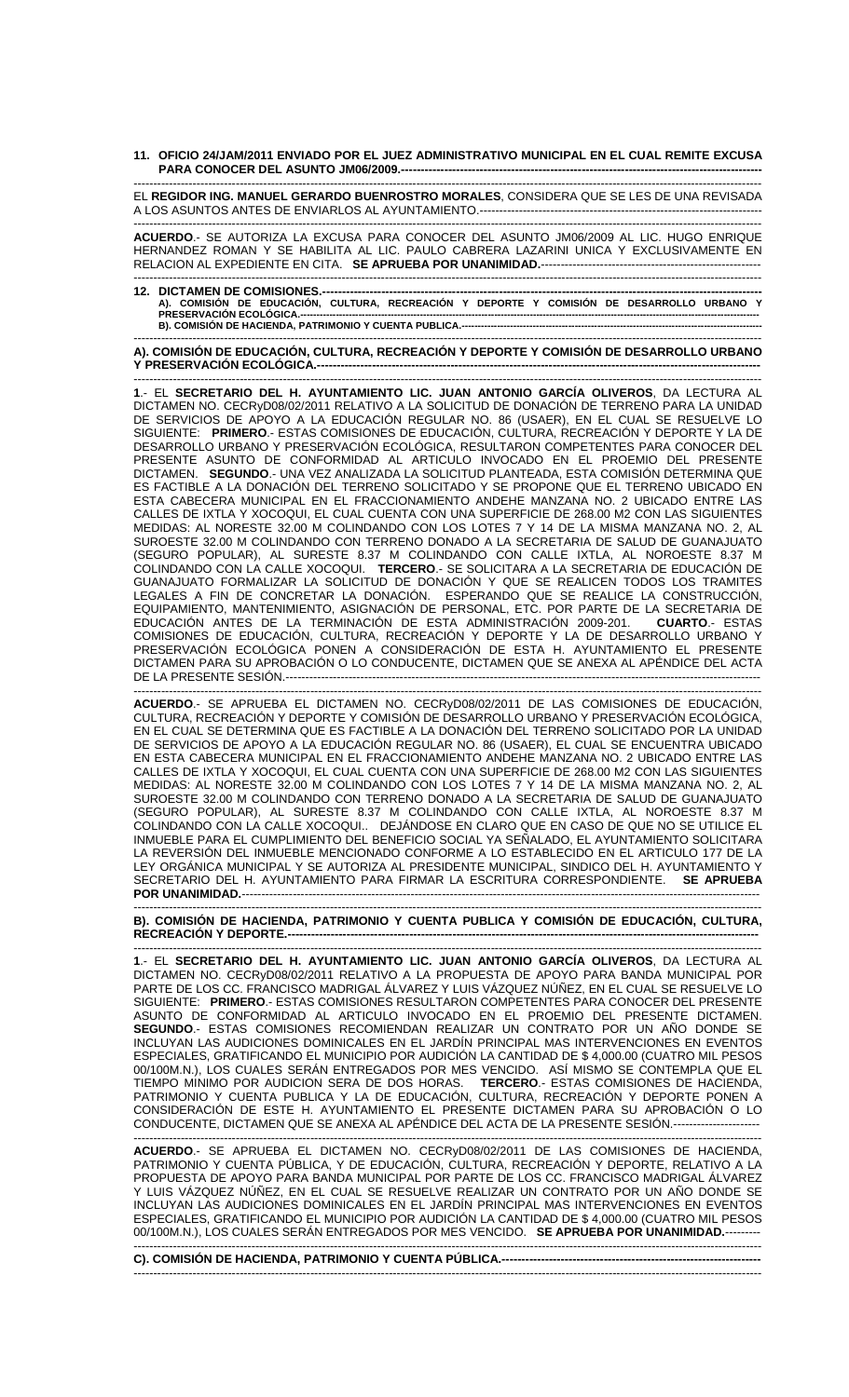**11. OFICIO 24/JAM/2011 ENVIADO POR EL JUEZ ADMINISTRATIVO MUNICIPAL EN EL CUAL REMITE EXCUSA PARA CONOCER DEL ASUNTO JM06/2009.---**

---------------------------------------------------------------------------------------------------------------------------------------------------------------- EL **REGIDOR ING. MANUEL GERARDO BUENROSTRO MORALES**, CONSIDERA QUE SE LES DE UNA REVISADA A LOS ASUNTOS ANTES DE ENVIARLOS AL AYUNTAMIENTO.--------------------------------

---------------------------------------------------------------------------------------------------------------------------------------------------------------- **ACUERDO**.- SE AUTORIZA LA EXCUSA PARA CONOCER DEL ASUNTO JM06/2009 AL LIC. HUGO ENRIQUE HERNANDEZ ROMAN Y SE HABILITA AL LIC. PAULO CABRERA LAZARINI UNICA Y EXCLUSIVAMENTE EN RELACION AL EXPEDIENTE EN CITA. **SE APRUEBA POR UNANIMIDAD.**--------------------------------------------------------

---------------------------------------------------------------------------------------------------------------------------------------------------------------- **12. DICTAMEN DE COMISIONES.---------------------------------------------------------------------------------------------------------------- A). COMISIÓN DE EDUCACIÓN, CULTURA, RECREACIÓN Y DEPORTE Y COMISIÓN DE DESARROLLO URBANO Y PRESERVACIÓN ECOLÓGICA.---------------------------------------------------------------------------------------------------------------------------------------------- B). COMISIÓN DE HACIENDA, PATRIMONIO Y CUENTA PUBLICA.-----**

---------------------------------------------------------------------------------------------------------------------------------------------------------------- **A). COMISIÓN DE EDUCACIÓN, CULTURA, RECREACIÓN Y DEPORTE Y COMISIÓN DE DESARROLLO URBANO**  Y PRESERVACIÓN ECOLÓGICA.------

---------------------------------------------------------------------------------------------------------------------------------------------------------------- **1**.- EL **SECRETARIO DEL H. AYUNTAMIENTO LIC. JUAN ANTONIO GARCÍA OLIVEROS**, DA LECTURA AL DICTAMEN NO. CECRyD08/02/2011 RELATIVO A LA SOLICITUD DE DONACIÓN DE TERRENO PARA LA UNIDAD DE SERVICIOS DE APOYO A LA EDUCACIÓN REGULAR NO. 86 (USAER), EN EL CUAL SE RESUELVE LO SIGUIENTE: **PRIMERO**.- ESTAS COMISIONES DE EDUCACIÓN, CULTURA, RECREACIÓN Y DEPORTE Y LA DE DESARROLLO URBANO Y PRESERVACIÓN ECOLÓGICA, RESULTARON COMPETENTES PARA CONOCER DEL PRESENTE ASUNTO DE CONFORMIDAD AL ARTICULO INVOCADO EN EL PROEMIO DEL PRESENTE DICTAMEN. **SEGUNDO**.- UNA VEZ ANALIZADA LA SOLICITUD PLANTEADA, ESTA COMISIÓN DETERMINA QUE ES FACTIBLE A LA DONACIÓN DEL TERRENO SOLICITADO Y SE PROPONE QUE EL TERRENO UBICADO EN ESTA CABECERA MUNICIPAL EN EL FRACCIONAMIENTO ANDEHE MANZANA NO. 2 UBICADO ENTRE LAS CALLES DE IXTLA Y XOCOQUI, EL CUAL CUENTA CON UNA SUPERFICIE DE 268.00 M2 CON LAS SIGUIENTES MEDIDAS: AL NORESTE 32.00 M COLINDANDO CON LOS LOTES 7 Y 14 DE LA MISMA MANZANA NO. 2, AL SUROESTE 32.00 M COLINDANDO CON TERRENO DONADO A LA SECRETARIA DE SALUD DE GUANAJUATO (SEGURO POPULAR), AL SURESTE 8.37 M COLINDANDO CON CALLE IXTLA, AL NOROESTE 8.37 M COLINDANDO CON LA CALLE XOCOQUI. **TERCERO**.- SE SOLICITARA A LA SECRETARIA DE EDUCACIÓN DE GUANAJUATO FORMALIZAR LA SOLICITUD DE DONACIÓN Y QUE SE REALICEN TODOS LOS TRAMITES LEGALES A FIN DE CONCRETAR LA DONACIÓN. ESPERANDO QUE SE REALICE LA CONSTRUCCIÓN, EQUIPAMIENTO, MANTENIMIENTO, ASIGNACIÓN DE PERSONAL, ETC. POR PARTE DE LA SECRETARIA DE EDUCACIÓN ANTES DE LA TERMINACIÓN DE ESTA ADMINISTRACIÓN 2009-201. **CUARTO**.- ESTAS COMISIONES DE EDUCACIÓN, CULTURA, RECREACIÓN Y DEPORTE Y LA DE DESARROLLO URBANO Y PRESERVACIÓN ECOLÓGICA PONEN A CONSIDERACIÓN DE ESTA H. AYUNTAMIENTO EL PRESENTE DICTAMEN PARA SU APROBACIÓN O LO CONDUCENTE, DICTAMEN QUE SE ANEXA AL APÉNDICE DEL ACTA DE LA PRESENTE SESIÓN.-------------------------------------------------------------------------------------------------------------------------

---------------------------------------------------------------------------------------------------------------------------------------------------------------- **ACUERDO**.- SE APRUEBA EL DICTAMEN NO. CECRyD08/02/2011 DE LAS COMISIONES DE EDUCACIÓN, CULTURA, RECREACIÓN Y DEPORTE Y COMISIÓN DE DESARROLLO URBANO Y PRESERVACIÓN ECOLÓGICA, EN EL CUAL SE DETERMINA QUE ES FACTIBLE A LA DONACIÓN DEL TERRENO SOLICITADO POR LA UNIDAD DE SERVICIOS DE APOYO A LA EDUCACIÓN REGULAR NO. 86 (USAER), EL CUAL SE ENCUENTRA UBICADO EN ESTA CABECERA MUNICIPAL EN EL FRACCIONAMIENTO ANDEHE MANZANA NO. 2 UBICADO ENTRE LAS CALLES DE IXTLA Y XOCOQUI, EL CUAL CUENTA CON UNA SUPERFICIE DE 268.00 M2 CON LAS SIGUIENTES MEDIDAS: AL NORESTE 32.00 M COLINDANDO CON LOS LOTES 7 Y 14 DE LA MISMA MANZANA NO. 2, AL SUROESTE 32.00 M COLINDANDO CON TERRENO DONADO A LA SECRETARIA DE SALUD DE GUANAJUATO (SEGURO POPULAR), AL SURESTE 8.37 M COLINDANDO CON CALLE IXTLA, AL NOROESTE 8.37 M COLINDANDO CON LA CALLE XOCOQUI.. DEJÁNDOSE EN CLARO QUE EN CASO DE QUE NO SE UTILICE EL INMUEBLE PARA EL CUMPLIMIENTO DEL BENEFICIO SOCIAL YA SEÑALADO, EL AYUNTAMIENTO SOLICITARA LA REVERSIÓN DEL INMUEBLE MENCIONADO CONFORME A LO ESTABLECIDO EN EL ARTICULO 177 DE LA LEY ORGÁNICA MUNICIPAL Y SE AUTORIZA AL PRESIDENTE MUNICIPAL, SINDICO DEL H. AYUNTAMIENTO Y SECRETARIO DEL H. AYUNTAMIENTO PARA FIRMAR LA ESCRITURA CORRESPONDIENTE. **SE APRUEBA POR UNANIMIDAD.**------------------------------------------------------------------------------------------------------------------------------------

**B). COMISIÓN DE HACIENDA, PATRIMONIO Y CUENTA PUBLICA Y COMISIÓN DE EDUCACIÓN, CULTURA, RECREACIÓN Y DEPORTE.--**

----------------------------------------------------------------------------------------------------------------------------------------------------------------

---------------------------------------------------------------------------------------------------------------------------------------------------------------- **1**.- EL **SECRETARIO DEL H. AYUNTAMIENTO LIC. JUAN ANTONIO GARCÍA OLIVEROS**, DA LECTURA AL DICTAMEN NO. CECRyD08/02/2011 RELATIVO A LA PROPUESTA DE APOYO PARA BANDA MUNICIPAL POR PARTE DE LOS CC. FRANCISCO MADRIGAL ÁLVAREZ Y LUIS VÁZQUEZ NÚÑEZ, EN EL CUAL SE RESUELVE LO SIGUIENTE: **PRIMERO**.- ESTAS COMISIONES RESULTARON COMPETENTES PARA CONOCER DEL PRESENTE ASUNTO DE CONFORMIDAD AL ARTICULO INVOCADO EN EL PROEMIO DEL PRESENTE DICTAMEN. **SEGUNDO**.- ESTAS COMISIONES RECOMIENDAN REALIZAR UN CONTRATO POR UN AÑO DONDE SE INCLUYAN LAS AUDICIONES DOMINICALES EN EL JARDÍN PRINCIPAL MAS INTERVENCIONES EN EVENTOS ESPECIALES, GRATIFICANDO EL MUNICIPIO POR AUDICIÓN LA CANTIDAD DE \$ 4,000.00 (CUATRO MIL PESOS 00/100M.N.), LOS CUALES SERÁN ENTREGADOS POR MES VENCIDO. ASÍ MISMO SE CONTEMPLA QUE EL TIEMPO MINIMO POR AUDICION SERA DE DOS HORAS. **TERCERO**.- ESTAS COMISIONES DE HACIENDA, PATRIMONIO Y CUENTA PUBLICA Y LA DE EDUCACIÓN, CULTURA, RECREACIÓN Y DEPORTE PONEN A CONSIDERACIÓN DE ESTE H. AYUNTAMIENTO EL PRESENTE DICTAMEN PARA SU APROBACIÓN O LO CONDUCENTE, DICTAMEN QUE SE ANEXA AL APÉNDICE DEL ACTA DE LA PRESENTE SESIÓN.----------------------

---------------------------------------------------------------------------------------------------------------------------------------------------------------- **ACUERDO**.- SE APRUEBA EL DICTAMEN NO. CECRyD08/02/2011 DE LAS COMISIONES DE HACIENDA, PATRIMONIO Y CUENTA PÚBLICA, Y DE EDUCACIÓN, CULTURA, RECREACIÓN Y DEPORTE, RELATIVO A LA PROPUESTA DE APOYO PARA BANDA MUNICIPAL POR PARTE DE LOS CC. FRANCISCO MADRIGAL ÁLVAREZ Y LUIS VÁZQUEZ NÚÑEZ, EN EL CUAL SE RESUELVE REALIZAR UN CONTRATO POR UN AÑO DONDE SE INCLUYAN LAS AUDICIONES DOMINICALES EN EL JARDÍN PRINCIPAL MAS INTERVENCIONES EN EVENTOS ESPECIALES, GRATIFICANDO EL MUNICIPIO POR AUDICIÓN LA CANTIDAD DE \$ 4,000.00 (CUATRO MIL PESOS 00/100M.N.), LOS CUALES SERÁN ENTREGADOS POR MES VENCIDO. SE APRUEBA POR UNANIMIDAD.----

---------------------------------------------------------------------------------------------------------------------------------------------------------------- **C). COMISIÓN DE HACIENDA, PATRIMONIO Y CUENTA PÚBLICA.------------------------------------------------------------------**  ----------------------------------------------------------------------------------------------------------------------------------------------------------------